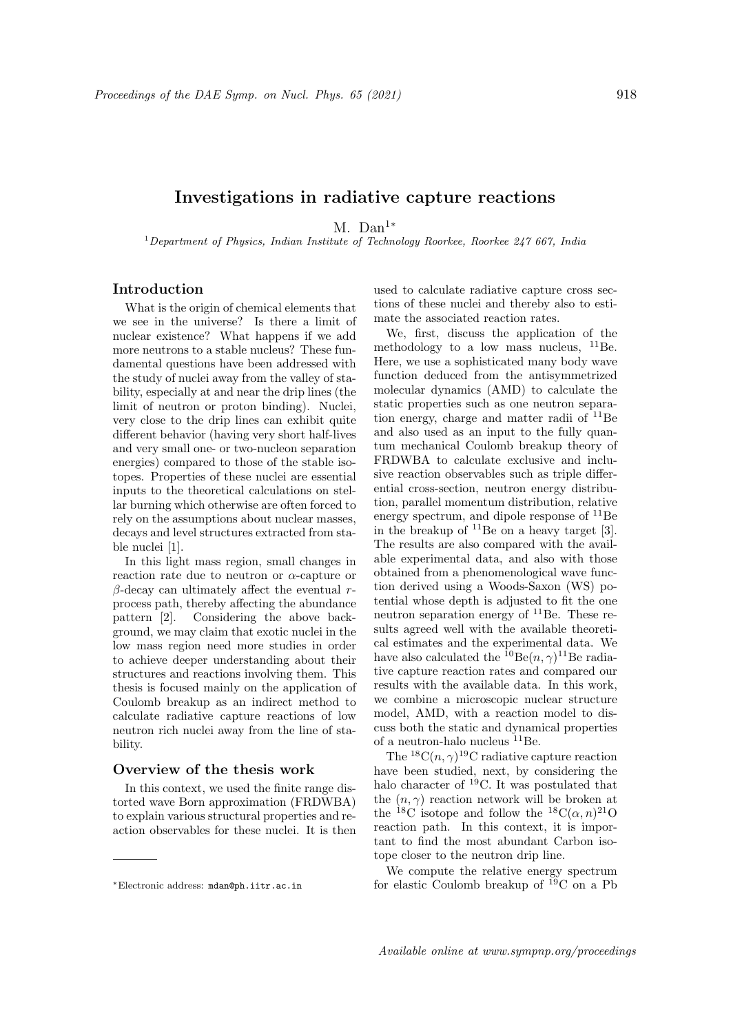# Investigations in radiative capture reactions

M. Dan<sup>1∗</sup>

<sup>1</sup>Department of Physics, Indian Institute of Technology Roorkee, Roorkee  $247667$ , India

# Introduction

What is the origin of chemical elements that we see in the universe? Is there a limit of nuclear existence? What happens if we add more neutrons to a stable nucleus? These fundamental questions have been addressed with the study of nuclei away from the valley of stability, especially at and near the drip lines (the limit of neutron or proton binding). Nuclei, very close to the drip lines can exhibit quite different behavior (having very short half-lives and very small one- or two-nucleon separation energies) compared to those of the stable isotopes. Properties of these nuclei are essential inputs to the theoretical calculations on stellar burning which otherwise are often forced to rely on the assumptions about nuclear masses, decays and level structures extracted from stable nuclei [1].

In this light mass region, small changes in reaction rate due to neutron or  $\alpha$ -capture or β-decay can ultimately affect the eventual  $r$ process path, thereby affecting the abundance pattern [2]. Considering the above background, we may claim that exotic nuclei in the low mass region need more studies in order to achieve deeper understanding about their structures and reactions involving them. This thesis is focused mainly on the application of Coulomb breakup as an indirect method to calculate radiative capture reactions of low neutron rich nuclei away from the line of stability.

#### Overview of the thesis work

In this context, we used the finite range distorted wave Born approximation (FRDWBA) to explain various structural properties and reaction observables for these nuclei. It is then

used to calculate radiative capture cross sections of these nuclei and thereby also to estimate the associated reaction rates.

We, first, discuss the application of the methodology to a low mass nucleus,  $^{11}$ Be. Here, we use a sophisticated many body wave function deduced from the antisymmetrized molecular dynamics (AMD) to calculate the static properties such as one neutron separation energy, charge and matter radii of  $^{11}$ Be and also used as an input to the fully quantum mechanical Coulomb breakup theory of FRDWBA to calculate exclusive and inclusive reaction observables such as triple differential cross-section, neutron energy distribution, parallel momentum distribution, relative energy spectrum, and dipole response of  $^{11}$ Be in the breakup of  $^{11}$ Be on a heavy target [3]. The results are also compared with the available experimental data, and also with those obtained from a phenomenological wave function derived using a Woods-Saxon (WS) potential whose depth is adjusted to fit the one neutron separation energy of  ${}^{11}$ Be. These results agreed well with the available theoretical estimates and the experimental data. We have also calculated the  ${}^{10}$ Be $(n, \gamma)$ <sup>11</sup>Be radiative capture reaction rates and compared our results with the available data. In this work, we combine a microscopic nuclear structure model, AMD, with a reaction model to discuss both the static and dynamical properties of a neutron-halo nucleus  $^{11}$ Be.

The  ${}^{18}C(n,\gamma){}^{19}C$  radiative capture reaction have been studied, next, by considering the halo character of <sup>19</sup>C. It was postulated that the  $(n, \gamma)$  reaction network will be broken at the <sup>18</sup>C isotope and follow the <sup>18</sup>C( $\alpha$ , n)<sup>21</sup>O reaction path. In this context, it is important to find the most abundant Carbon isotope closer to the neutron drip line.

We compute the relative energy spectrum for elastic Coulomb breakup of  $\overline{^{19}}C$  on a Pb

<sup>∗</sup>Electronic address: mdan@ph.iitr.ac.in